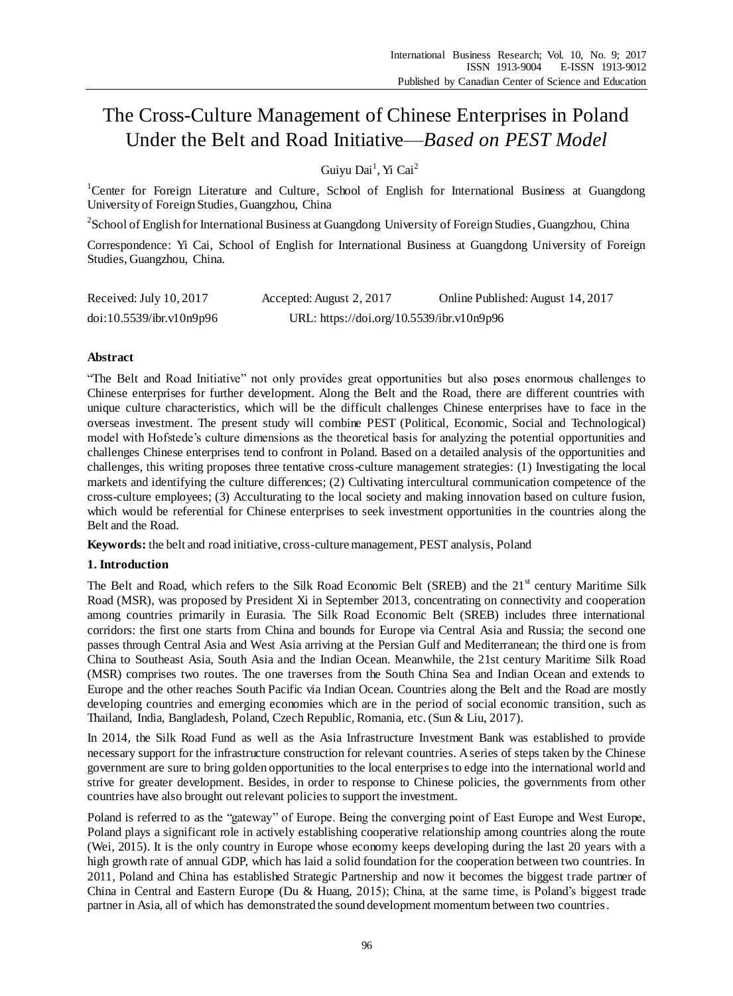# The Cross-Culture Management of Chinese Enterprises in Poland Under the Belt and Road Initiative—*Based on PEST Model*

Guiyu Dai<sup>1</sup>, Yi Cai<sup>2</sup>

<sup>1</sup>Center for Foreign Literature and Culture, School of English for International Business at Guangdong University of Foreign Studies, Guangzhou, China

<sup>2</sup> School of English for International Business at Guangdong University of Foreign Studies, Guangzhou, China

Correspondence: Yi Cai, School of English for International Business at Guangdong University of Foreign Studies, Guangzhou, China.

| Received: July 10, 2017  | Accepted: August 2, 2017                  | Online Published: August 14, 2017 |
|--------------------------|-------------------------------------------|-----------------------------------|
| doi:10.5539/ibr.v10n9p96 | URL: https://doi.org/10.5539/ibr.v10n9p96 |                                   |

# **Abstract**

"The Belt and Road Initiative" not only provides great opportunities but also poses enormous challenges to Chinese enterprises for further development. Along the Belt and the Road, there are different countries with unique culture characteristics, which will be the difficult challenges Chinese enterprises have to face in the overseas investment. The present study will combine PEST (Political, Economic, Social and Technological) model with Hofstede's culture dimensions as the theoretical basis for analyzing the potential opportunities and challenges Chinese enterprises tend to confront in Poland. Based on a detailed analysis of the opportunities and challenges, this writing proposes three tentative cross-culture management strategies: (1) Investigating the local markets and identifying the culture differences; (2) Cultivating intercultural communication competence of the cross-culture employees; (3) Acculturating to the local society and making innovation based on culture fusion, which would be referential for Chinese enterprises to seek investment opportunities in the countries along the Belt and the Road.

**Keywords:** the belt and road initiative, cross-culture management, PEST analysis, Poland

# **1. Introduction**

The Belt and Road, which refers to the Silk Road Economic Belt (SREB) and the 21<sup>st</sup> century Maritime Silk Road (MSR), was proposed by President Xi in September 2013, concentrating on connectivity and cooperation among countries primarily in Eurasia. The Silk Road Economic Belt (SREB) includes three international corridors: the first one starts from China and bounds for Europe via Central Asia and Russia; the second one passes through Central Asia and West Asia arriving at the Persian Gulf and Mediterranean; the third one is from China to Southeast Asia, South Asia and the Indian Ocean. Meanwhile, the 21st century Maritime Silk Road (MSR) comprises two routes. The one traverses from the South China Sea and Indian Ocean and extends to Europe and the other reaches South Pacific via Indian Ocean. Countries along the Belt and the Road are mostly developing countries and emerging economies which are in the period of social economic transition, such as Thailand, India, Bangladesh, Poland, Czech Republic, Romania, etc. (Sun & Liu, 2017).

In 2014, the Silk Road Fund as well as the Asia Infrastructure Investment Bank was established to provide necessary support for the infrastructure construction for relevant countries. A series of steps taken by the Chinese government are sure to bring golden opportunities to the local enterprises to edge into the international world and strive for greater development. Besides, in order to response to Chinese policies, the governments from other countries have also brought out relevant policies to support the investment.

Poland is referred to as the "gateway" of Europe. Being the converging point of East Europe and West Europe, Poland plays a significant role in actively establishing cooperative relationship among countries along the route (Wei, 2015). It is the only country in Europe whose economy keeps developing during the last 20 years with a high growth rate of annual GDP, which has laid a solid foundation for the cooperation between two countries. In 2011, Poland and China has established Strategic Partnership and now it becomes the biggest trade partner of China in Central and Eastern Europe (Du & Huang, 2015); China, at the same time, is Poland's biggest trade partner in Asia, all of which has demonstrated the sound development momentum between two countries.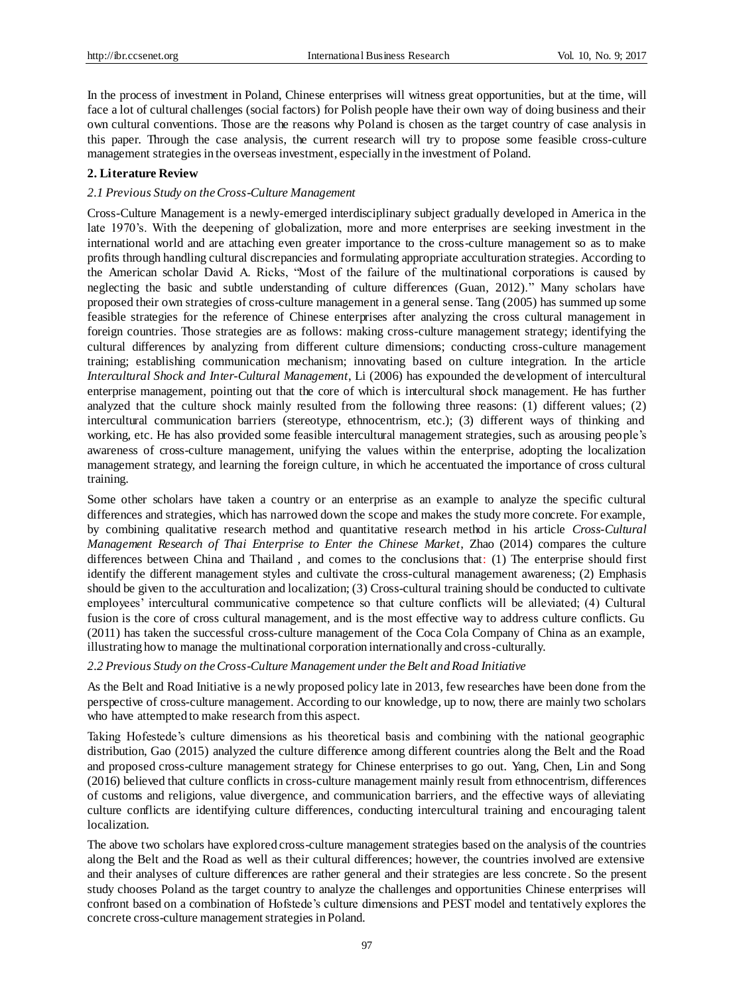In the process of investment in Poland, Chinese enterprises will witness great opportunities, but at the time, will face a lot of cultural challenges (social factors) for Polish people have their own way of doing business and their own cultural conventions. Those are the reasons why Poland is chosen as the target country of case analysis in this paper. Through the case analysis, the current research will try to propose some feasible cross-culture management strategies in the overseas investment, especially in the investment of Poland.

# **2. Literature Review**

# *2.1 Previous Study on the Cross-Culture Management*

Cross-Culture Management is a newly-emerged interdisciplinary subject gradually developed in America in the late 1970's. With the deepening of globalization, more and more enterprises are seeking investment in the international world and are attaching even greater importance to the cross-culture management so as to make profits through handling cultural discrepancies and formulating appropriate acculturation strategies. According to the American scholar David A. Ricks, "Most of the failure of the multinational corporations is caused by neglecting the basic and subtle understanding of culture differences (Guan, 2012).'' Many scholars have proposed their own strategies of cross-culture management in a general sense. Tang (2005) has summed up some feasible strategies for the reference of Chinese enterprises after analyzing the cross cultural management in foreign countries. Those strategies are as follows: making cross-culture management strategy; identifying the cultural differences by analyzing from different culture dimensions; conducting cross-culture management training; establishing communication mechanism; innovating based on culture integration. In the article *Intercultural Shock and Inter-Cultural Management*, Li (2006) has expounded the development of intercultural enterprise management, pointing out that the core of which is intercultural shock management. He has further analyzed that the culture shock mainly resulted from the following three reasons: (1) different values; (2) intercultural communication barriers (stereotype, ethnocentrism, etc.); (3) different ways of thinking and working, etc. He has also provided some feasible intercultural management strategies, such as arousing people's awareness of cross-culture management, unifying the values within the enterprise, adopting the localization management strategy, and learning the foreign culture, in which he accentuated the importance of cross cultural training.

Some other scholars have taken a country or an enterprise as an example to analyze the specific cultural differences and strategies, which has narrowed down the scope and makes the study more concrete. For example, by combining qualitative research method and quantitative research method in his article *Cross-Cultural Management Research of Thai Enterprise to Enter the Chinese Market*, Zhao (2014) compares the culture differences between China and Thailand , and comes to the conclusions that: (1) The enterprise should first identify the different management styles and cultivate the cross-cultural management awareness; (2) Emphasis should be given to the acculturation and localization; (3) Cross-cultural training should be conducted to cultivate employees' intercultural communicative competence so that culture conflicts will be alleviated; (4) Cultural fusion is the core of cross cultural management, and is the most effective way to address culture conflicts. Gu (2011) has taken the successful cross-culture management of the Coca Cola Company of China as an example, illustrating how to manage the multinational corporation internationally and cross-culturally.

# 2.2 Previous Study on the Cross-Culture Management under the Belt and Road Initiative

As the Belt and Road Initiative is a newly proposed policy late in 2013, few researches have been done from the perspective of cross-culture management. According to our knowledge, up to now, there are mainly two scholars who have attempted to make research from this aspect.

Taking Hofestede's culture dimensions as his theoretical basis and combining with the national geographic distribution, Gao (2015) analyzed the culture difference among different countries along the Belt and the Road and proposed cross-culture management strategy for Chinese enterprises to go out. Yang, Chen, Lin and Song (2016) believed that culture conflicts in cross-culture management mainly result from ethnocentrism, differences of customs and religions, value divergence, and communication barriers, and the effective ways of alleviating culture conflicts are identifying culture differences, conducting intercultural training and encouraging talent localization.

The above two scholars have explored cross-culture management strategies based on the analysis of the countries along the Belt and the Road as well as their cultural differences; however, the countries involved are extensive and their analyses of culture differences are rather general and their strategies are less concrete . So the present study chooses Poland as the target country to analyze the challenges and opportunities Chinese enterprises will confront based on a combination of Hofstede's culture dimensions and PEST model and tentatively explores the concrete cross-culture management strategies in Poland.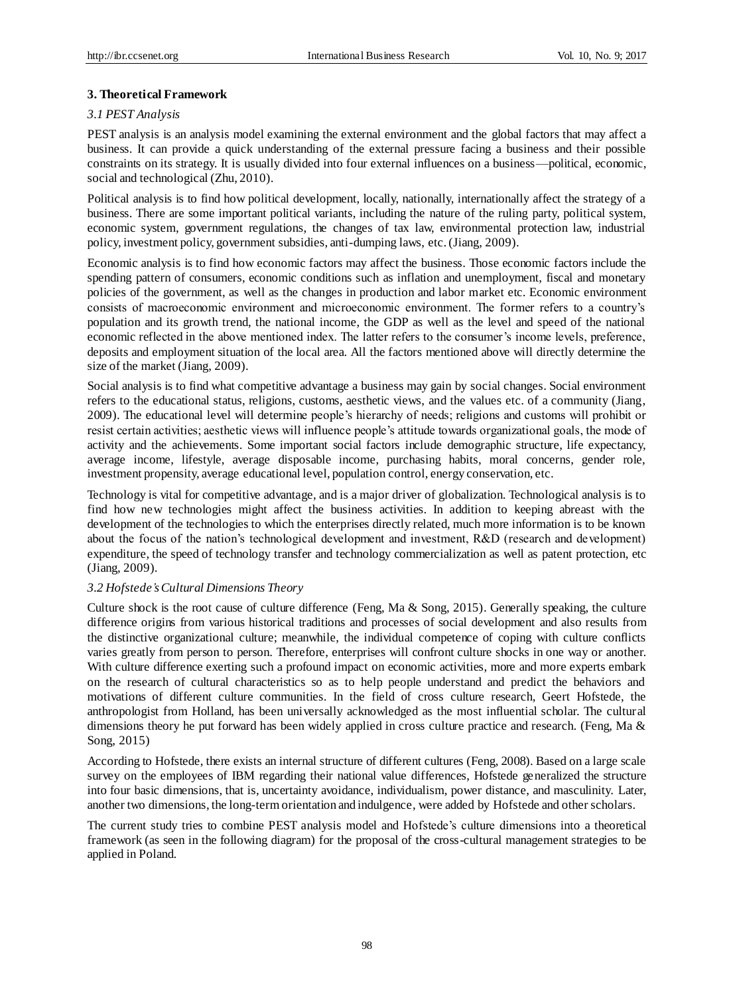## **3. Theoretical Framework**

## *3.1 PEST Analysis*

PEST analysis is an analysis model examining the external environment and the global factors that may affect a business. It can provide a quick understanding of the external pressure facing a business and their possible constraints on its strategy. It is usually divided into four external influences on a business—political, economic, social and technological (Zhu, 2010).

Political analysis is to find how political development, locally, nationally, internationally affect the strategy of a business. There are some important political variants, including the nature of the ruling party, political system, economic system, government regulations, the changes of tax law, environmental protection law, industrial policy, investment policy, government subsidies, anti-dumping laws, etc. (Jiang, 2009).

Economic analysis is to find how economic factors may affect the business. Those economic factors include the spending pattern of consumers, economic conditions such as inflation and unemployment, fiscal and monetary policies of the government, as well as the changes in production and labor market etc. Economic environment consists of macroeconomic environment and microeconomic environment. The former refers to a country's population and its growth trend, the national income, the GDP as well as the level and speed of the national economic reflected in the above mentioned index. The latter refers to the consumer's income levels, preference, deposits and employment situation of the local area. All the factors mentioned above will directly determine the size of the market (Jiang, 2009).

Social analysis is to find what competitive advantage a business may gain by social changes. Social environment refers to the educational status, religions, customs, aesthetic views, and the values etc. of a community (Jiang, 2009). The educational level will determine people's hierarchy of needs; religions and customs will prohibit or resist certain activities; aesthetic views will influence people's attitude towards organizational goals, the mode of activity and the achievements. Some important social factors include demographic structure, life expectancy, average income, lifestyle, average disposable income, purchasing habits, moral concerns, gender role, investment propensity, average educational level, population control, energy conservation, etc.

Technology is vital for competitive advantage, and is a major driver of globalization. Technological analysis is to find how new technologies might affect the business activities. In addition to keeping abreast with the development of the technologies to which the enterprises directly related, much more information is to be known about the focus of the nation's technological development and investment, R&D (research and development) expenditure, the speed of technology transfer and technology commercialization as well as patent protection, etc (Jiang, 2009).

# *3.2 Hofstede's Cultural Dimensions Theory*

Culture shock is the root cause of culture difference (Feng, Ma & Song, 2015). Generally speaking, the culture difference origins from various historical traditions and processes of social development and also results from the distinctive organizational culture; meanwhile, the individual competence of coping with culture conflicts varies greatly from person to person. Therefore, enterprises will confront culture shocks in one way or another. With culture difference exerting such a profound impact on economic activities, more and more experts embark on the research of cultural characteristics so as to help people understand and predict the behaviors and motivations of different culture communities. In the field of cross culture research, Geert Hofstede, the anthropologist from Holland, has been universally acknowledged as the most influential scholar. The cultural dimensions theory he put forward has been widely applied in cross culture practice and research. (Feng, Ma & Song, 2015)

According to Hofstede, there exists an internal structure of different cultures (Feng, 2008). Based on a large scale survey on the employees of IBM regarding their national value differences, Hofstede generalized the structure into four basic dimensions, that is, uncertainty avoidance, individualism, power distance, and masculinity. Later, another two dimensions, the long-term orientation and indulgence, were added by Hofstede and other scholars.

The current study tries to combine PEST analysis model and Hofstede's culture dimensions into a theoretical framework (as seen in the following diagram) for the proposal of the cross-cultural management strategies to be applied in Poland.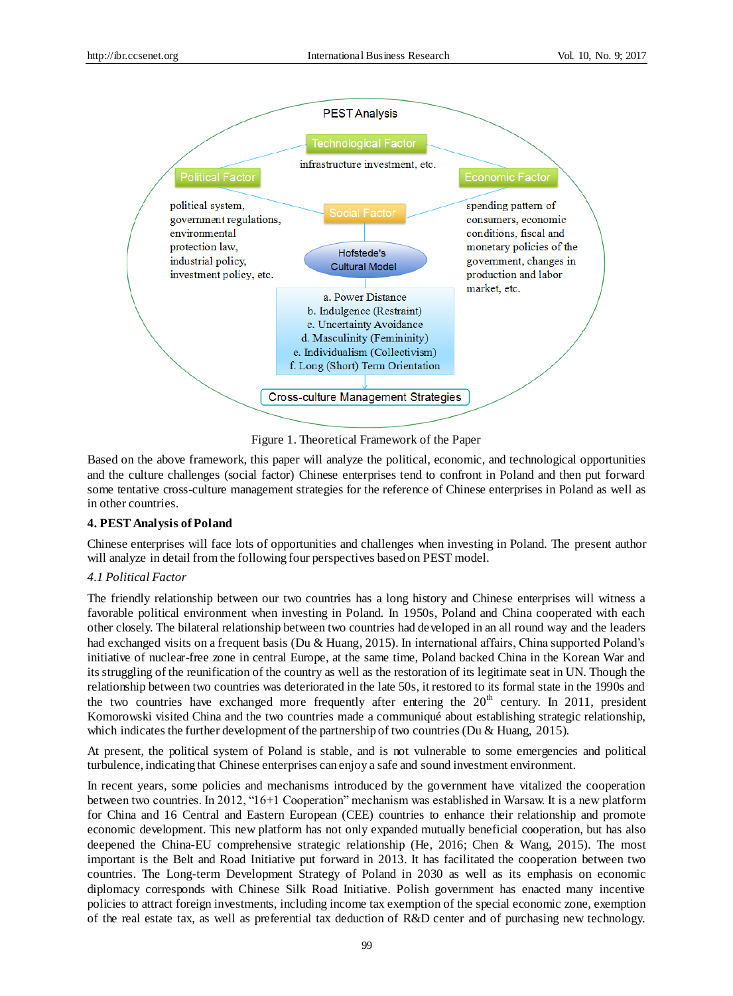

Figure 1. Theoretical Framework of the Paper

Based on the above framework, this paper will analyze the political, economic, and technological opportunities and the culture challenges (social factor) Chinese enterprises tend to confront in Poland and then put forward some tentative cross-culture management strategies for the reference of Chinese enterprises in Poland as well as in other countries.

# **4. PEST Analysis of Poland**

Chinese enterprises will face lots of opportunities and challenges when investing in Poland. The present author will analyze in detail from the following four perspectives based on PEST model.

# *4.1 Political Factor*

The friendly relationship between our two countries has a long history and Chinese enterprises will witness a favorable political environment when investing in Poland. In 1950s, Poland and China cooperated with each other closely. The bilateral relationship between two countries had developed in an all round way and the leaders had exchanged visits on a frequent basis (Du & Huang, 2015). In international affairs, China supported Poland's initiative of nuclear-free zone in central Europe, at the same time, Poland backed China in the Korean War and its struggling of the reunification of the country as well as the restoration of its legitimate seat in UN. Though the relationship between two countries was deteriorated in the late 50s, it restored to its formal state in the 1990s and the two countries have exchanged more frequently after entering the  $20<sup>th</sup>$  century. In 2011, president Komorowski visited China and the two countries made a communiqué about establishing strategic relationship, which indicates the further development of the partnership of two countries (Du & Huang, 2015).

At present, the political system of Poland is stable, and is not vulnerable to some emergencies and political turbulence, indicating that Chinese enterprises can enjoy a safe and sound investment environment.

In recent years, some policies and mechanisms introduced by the government have vitalized the cooperation between two countries. In 2012, "16+1 Cooperation" mechanism was established in Warsaw. It is a new platform for China and 16 Central and Eastern European (CEE) countries to enhance their relationship and promote economic development. This new platform has not only expanded mutually beneficial cooperation, but has also deepened the China-EU comprehensive strategic relationship (He, 2016; Chen & Wang, 2015). The most important is the Belt and Road Initiative put forward in 2013. It has facilitated the cooperation between two countries. The Long-term Development Strategy of Poland in 2030 as well as its emphasis on economic diplomacy corresponds with Chinese Silk Road Initiative. Polish government has enacted many incentive policies to attract foreign investments, including income tax exemption of the special economic zone, exemption of the real estate tax, as well as preferential tax deduction of R&D center and of purchasing new technology.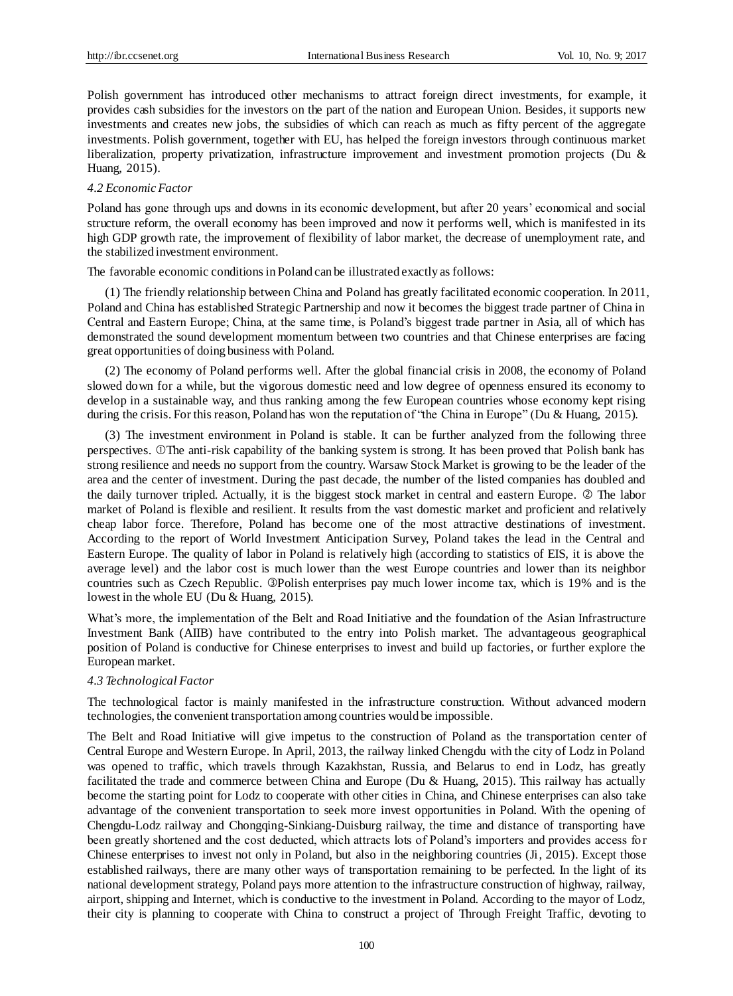Polish government has introduced other mechanisms to attract foreign direct investments, for example, it provides cash subsidies for the investors on the part of the nation and European Union. Besides, it supports new investments and creates new jobs, the subsidies of which can reach as much as fifty percent of the aggregate investments. Polish government, together with EU, has helped the foreign investors through continuous market liberalization, property privatization, infrastructure improvement and investment promotion projects (Du & Huang, 2015).

## *4.2 Economic Factor*

Poland has gone through ups and downs in its economic development, but after 20 years' economical and social structure reform, the overall economy has been improved and now it performs well, which is manifested in its high GDP growth rate, the improvement of flexibility of labor market, the decrease of unemployment rate, and the stabilized investment environment.

The favorable economic conditions in Poland can be illustrated exactly as follows:

 (1) The friendly relationship between China and Poland has greatly facilitated economic cooperation. In 2011, Poland and China has established Strategic Partnership and now it becomes the biggest trade partner of China in Central and Eastern Europe; China, at the same time, is Poland's biggest trade partner in Asia, all of which has demonstrated the sound development momentum between two countries and that Chinese enterprises are facing great opportunities of doing business with Poland.

 (2) The economy of Poland performs well. After the global financial crisis in 2008, the economy of Poland slowed down for a while, but the vigorous domestic need and low degree of openness ensured its economy to develop in a sustainable way, and thus ranking among the few European countries whose economy kept rising during the crisis. For this reason, Poland has won the reputation of "the China in Europe" (Du & Huang, 2015).

 (3) The investment environment in Poland is stable. It can be further analyzed from the following three perspectives. The anti-risk capability of the banking system is strong. It has been proved that Polish bank has strong resilience and needs no support from the country. Warsaw Stock Market is growing to be the leader of the area and the center of investment. During the past decade, the number of the listed companies has doubled and the daily turnover tripled. Actually, it is the biggest stock market in central and eastern Europe.  $\oslash$  The labor market of Poland is flexible and resilient. It results from the vast domestic market and proficient and relatively cheap labor force. Therefore, Poland has become one of the most attractive destinations of investment. According to the report of World Investment Anticipation Survey, Poland takes the lead in the Central and Eastern Europe. The quality of labor in Poland is relatively high (according to statistics of EIS, it is above the average level) and the labor cost is much lower than the west Europe countries and lower than its neighbor countries such as Czech Republic. Opolish enterprises pay much lower income tax, which is 19% and is the lowest in the whole EU (Du & Huang, 2015).

What's more, the implementation of the Belt and Road Initiative and the foundation of the Asian Infrastructure Investment Bank (AIIB) have contributed to the entry into Polish market. The advantageous geographical position of Poland is conductive for Chinese enterprises to invest and build up factories, or further explore the European market.

#### *4.3 Technological Factor*

The technological factor is mainly manifested in the infrastructure construction. Without advanced modern technologies, the convenient transportation among countries would be impossible.

The Belt and Road Initiative will give impetus to the construction of Poland as the transportation center of Central Europe and Western Europe. In April, 2013, the railway linked Chengdu with the city of Lodz in Poland was opened to traffic, which travels through Kazakhstan, Russia, and Belarus to end in Lodz, has greatly facilitated the trade and commerce between China and Europe (Du & Huang, 2015). This railway has actually become the starting point for Lodz to cooperate with other cities in China, and Chinese enterprises can also take advantage of the convenient transportation to seek more invest opportunities in Poland. With the opening of Chengdu-Lodz railway and Chongqing-Sinkiang-Duisburg railway, the time and distance of transporting have been greatly shortened and the cost deducted, which attracts lots of Poland's importers and provides access for Chinese enterprises to invest not only in Poland, but also in the neighboring countries (Ji, 2015). Except those established railways, there are many other ways of transportation remaining to be perfected. In the light of its national development strategy, Poland pays more attention to the infrastructure construction of highway, railway, airport, shipping and Internet, which is conductive to the investment in Poland. According to the mayor of Lodz, their city is planning to cooperate with China to construct a project of Through Freight Traffic, devoting to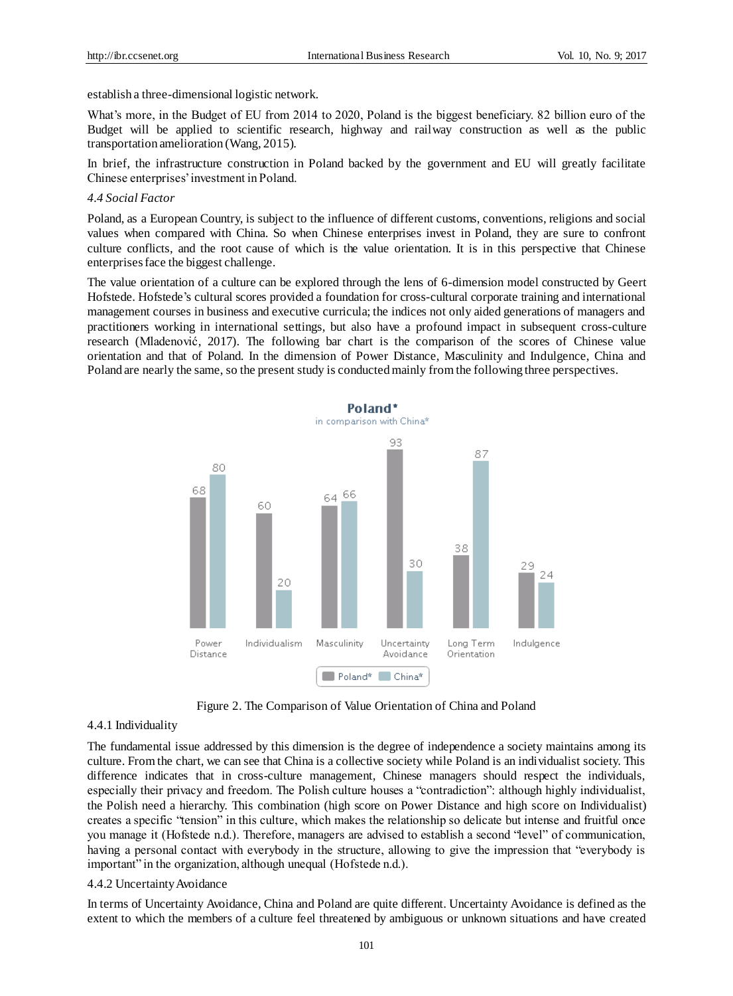establish a three-dimensional logistic network.

What's more, in the Budget of EU from 2014 to 2020, Poland is the biggest beneficiary. 82 billion euro of the Budget will be applied to scientific research, highway and railway construction as well as the public transportation amelioration (Wang, 2015).

In brief, the infrastructure construction in Poland backed by the government and EU will greatly facilitate Chinese enterprises' investment in Poland.

#### *4.4 Social Factor*

Poland, as a European Country, is subject to the influence of different customs, conventions, religions and social values when compared with China. So when Chinese enterprises invest in Poland, they are sure to confront culture conflicts, and the root cause of which is the value orientation. It is in this perspective that Chinese enterprises face the biggest challenge.

The value orientation of a culture can be explored through the lens of 6-dimension model constructed by Geert Hofstede. Hofstede's cultural scores provided a foundation for cross-cultural corporate training and international management courses in business and executive curricula; the indices not only aided generations of managers and practitioners working in international settings, but also have a profound impact in subsequent cross-culture research (Mladenović, 2017). The following bar chart is the comparison of the scores of Chinese value orientation and that of Poland. In the dimension of Power Distance, Masculinity and Indulgence, China and Poland are nearly the same, so the present study is conducted mainly from the following three perspectives.



Figure 2. The Comparison of Value Orientation of China and Poland

## 4.4.1 Individuality

The fundamental issue addressed by this dimension is the degree of independence a society maintains among its culture. From the chart, we can see that China is a collective society while Poland is an individualist society. This difference indicates that in cross-culture management, Chinese managers should respect the individuals, especially their privacy and freedom. The Polish culture houses a "contradiction": although highly individualist, the Polish need a hierarchy. This combination (high score on Power Distance and high score on Individualist) creates a specific "tension" in this culture, which makes the relationship so delicate but intense and fruitful once you manage it (Hofstede n.d.). Therefore, managers are advised to establish a second "level" of communication, having a personal contact with everybody in the structure, allowing to give the impression that "everybody is important" in the organization, although unequal (Hofstede n.d.).

## 4.4.2 Uncertainty Avoidance

In terms of Uncertainty Avoidance, China and Poland are quite different. Uncertainty Avoidance is defined as the extent to which the members of a culture feel threatened by ambiguous or unknown situations and have created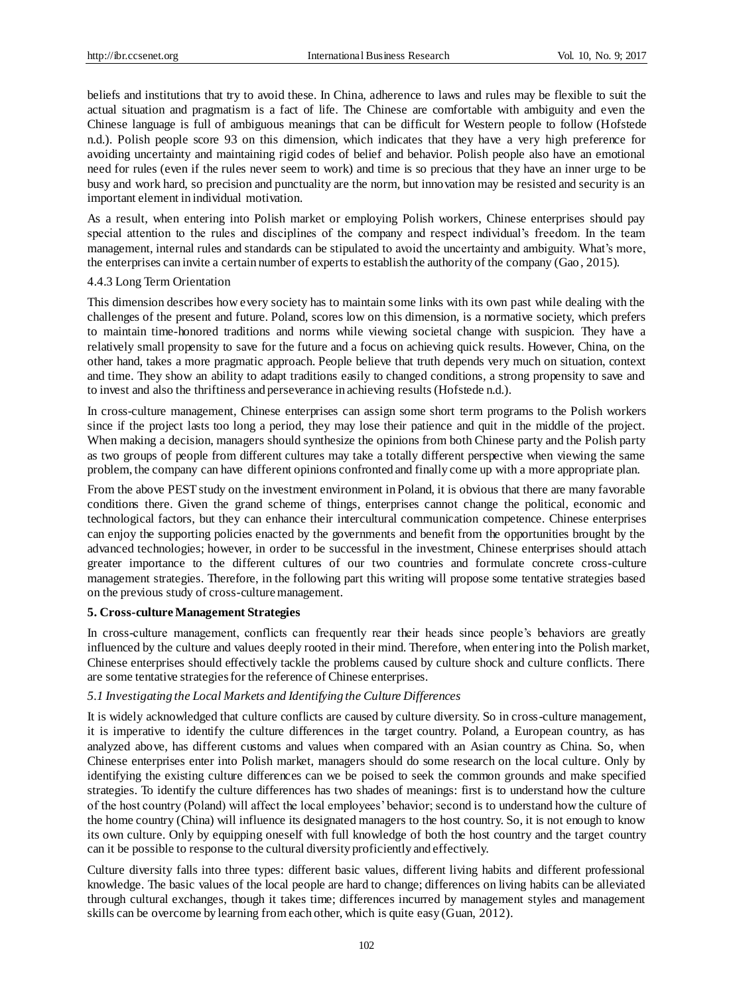beliefs and institutions that try to avoid these. In China, adherence to laws and rules may be flexible to suit the actual situation and pragmatism is a fact of life. The Chinese are comfortable with ambiguity and even the Chinese language is full of ambiguous meanings that can be difficult for Western people to follow (Hofstede n.d.). Polish people score 93 on this dimension, which indicates that they have a very high preference for avoiding uncertainty and maintaining rigid codes of belief and behavior. Polish people also have an emotional need for rules (even if the rules never seem to work) and time is so precious that they have an inner urge to be busy and work hard, so precision and punctuality are the norm, but innovation may be resisted and security is an important element in individual motivation.

As a result, when entering into Polish market or employing Polish workers, Chinese enterprises should pay special attention to the rules and disciplines of the company and respect individual's freedom. In the team management, internal rules and standards can be stipulated to avoid the uncertainty and ambiguity. What's more, the enterprises can invite a certain number of experts to establish the authority of the company (Gao, 2015).

## 4.4.3 Long Term Orientation

This dimension describes how every society has to maintain some links with its own past while dealing with the challenges of the present and future. Poland, scores low on this dimension, is a normative society, which prefers to maintain time-honored traditions and norms while viewing societal change with suspicion. They have a relatively small propensity to save for the future and a focus on achieving quick results. However, China, on the other hand, takes a more pragmatic approach. People believe that truth depends very much on situation, context and time. They show an ability to adapt traditions easily to changed conditions, a strong propensity to save and to invest and also the thriftiness and perseverance in achieving results (Hofstede n.d.).

In cross-culture management, Chinese enterprises can assign some short term programs to the Polish workers since if the project lasts too long a period, they may lose their patience and quit in the middle of the project. When making a decision, managers should synthesize the opinions from both Chinese party and the Polish party as two groups of people from different cultures may take a totally different perspective when viewing the same problem, the company can have different opinions confronted and finally come up with a more appropriate plan.

From the above PEST study on the investment environment in Poland, it is obvious that there are many favorable conditions there. Given the grand scheme of things, enterprises cannot change the political, economic and technological factors, but they can enhance their intercultural communication competence. Chinese enterprises can enjoy the supporting policies enacted by the governments and benefit from the opportunities brought by the advanced technologies; however, in order to be successful in the investment, Chinese enterprises should attach greater importance to the different cultures of our two countries and formulate concrete cross-culture management strategies. Therefore, in the following part this writing will propose some tentative strategies based on the previous study of cross-culture management.

## **5. Cross-culture Management Strategies**

In cross-culture management, conflicts can frequently rear their heads since people's behaviors are greatly influenced by the culture and values deeply rooted in their mind. Therefore, when entering into the Polish market, Chinese enterprises should effectively tackle the problems caused by culture shock and culture conflicts. There are some tentative strategies for the reference of Chinese enterprises.

## *5.1 Investigating the Local Markets and Identifying the Culture Differences*

It is widely acknowledged that culture conflicts are caused by culture diversity. So in cross-culture management, it is imperative to identify the culture differences in the target country. Poland, a European country, as has analyzed above, has different customs and values when compared with an Asian country as China. So, when Chinese enterprises enter into Polish market, managers should do some research on the local culture. Only by identifying the existing culture differences can we be poised to seek the common grounds and make specified strategies. To identify the culture differences has two shades of meanings: first is to understand how the culture of the host country (Poland) will affect the local employees' behavior; second is to understand how the culture of the home country (China) will influence its designated managers to the host country. So, it is not enough to know its own culture. Only by equipping oneself with full knowledge of both the host country and the target country can it be possible to response to the cultural diversity proficiently and effectively.

Culture diversity falls into three types: different basic values, different living habits and different professional knowledge. The basic values of the local people are hard to change; differences on living habits can be alleviated through cultural exchanges, though it takes time; differences incurred by management styles and management skills can be overcome by learning from each other, which is quite easy (Guan, 2012).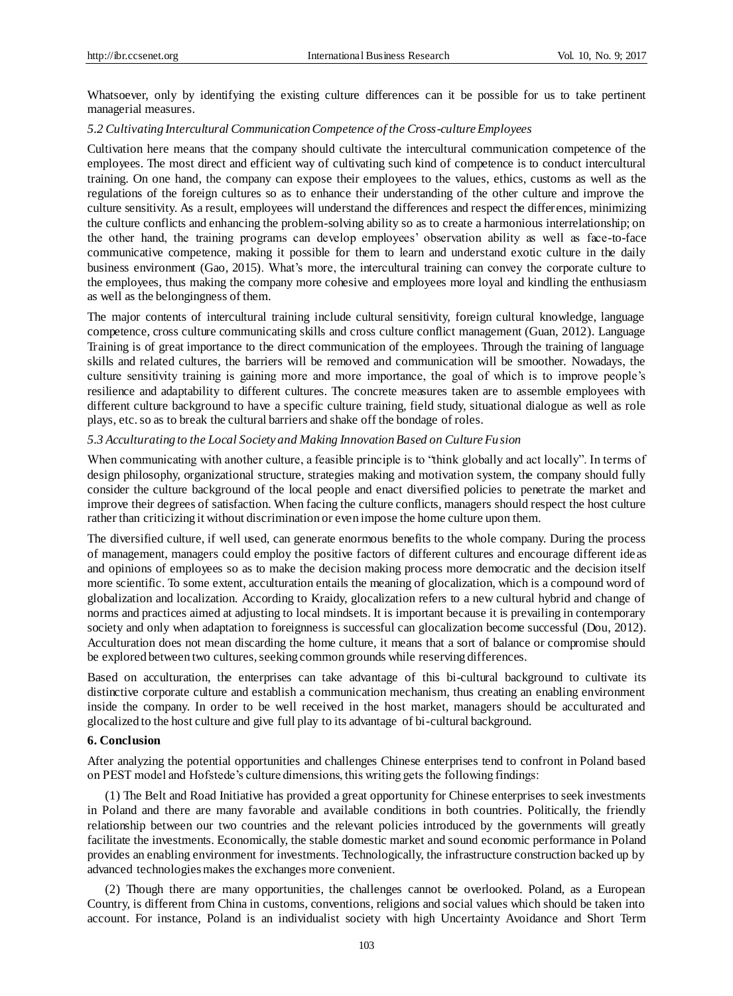Whatsoever, only by identifying the existing culture differences can it be possible for us to take pertinent managerial measures.

# *5.2 Cultivating Intercultural Communication Competence of the Cross-culture Employees*

Cultivation here means that the company should cultivate the intercultural communication competence of the employees. The most direct and efficient way of cultivating such kind of competence is to conduct intercultural training. On one hand, the company can expose their employees to the values, ethics, customs as well as the regulations of the foreign cultures so as to enhance their understanding of the other culture and improve the culture sensitivity. As a result, employees will understand the differences and respect the differences, minimizing the culture conflicts and enhancing the problem-solving ability so as to create a harmonious interrelationship; on the other hand, the training programs can develop employees' observation ability as well as face-to-face communicative competence, making it possible for them to learn and understand exotic culture in the daily business environment (Gao, 2015). What's more, the intercultural training can convey the corporate culture to the employees, thus making the company more cohesive and employees more loyal and kindling the enthusiasm as well as the belongingness of them.

The major contents of intercultural training include cultural sensitivity, foreign cultural knowledge, language competence, cross culture communicating skills and cross culture conflict management (Guan, 2012). Language Training is of great importance to the direct communication of the employees. Through the training of language skills and related cultures, the barriers will be removed and communication will be smoother. Nowadays, the culture sensitivity training is gaining more and more importance, the goal of which is to improve people's resilience and adaptability to different cultures. The concrete measures taken are to assemble employees with different culture background to have a specific culture training, field study, situational dialogue as well as role plays, etc. so as to break the cultural barriers and shake off the bondage of roles.

## *5.3 Acculturating to the Local Society and Making Innovation Based on Culture Fusion*

When communicating with another culture, a feasible principle is to "think globally and act locally". In terms of design philosophy, organizational structure, strategies making and motivation system, the company should fully consider the culture background of the local people and enact diversified policies to penetrate the market and improve their degrees of satisfaction. When facing the culture conflicts, managers should respect the host culture rather than criticizing it without discrimination or even impose the home culture upon them.

The diversified culture, if well used, can generate enormous benefits to the whole company. During the process of management, managers could employ the positive factors of different cultures and encourage different ide as and opinions of employees so as to make the decision making process more democratic and the decision itself more scientific. To some extent, acculturation entails the meaning of glocalization, which is a compound word of globalization and localization. According to Kraidy, glocalization refers to a new cultural hybrid and change of norms and practices aimed at adjusting to local mindsets. It is important because it is prevailing in contemporary society and only when adaptation to foreignness is successful can glocalization become successful (Dou, 2012). Acculturation does not mean discarding the home culture, it means that a sort of balance or compromise should be explored between two cultures, seeking common grounds while reserving differences.

Based on acculturation, the enterprises can take advantage of this bi-cultural background to cultivate its distinctive corporate culture and establish a communication mechanism, thus creating an enabling environment inside the company. In order to be well received in the host market, managers should be acculturated and glocalized to the host culture and give full play to its advantage of bi-cultural background.

## **6. Conclusion**

After analyzing the potential opportunities and challenges Chinese enterprises tend to confront in Poland based on PEST model and Hofstede's culture dimensions, this writing gets the following findings:

 (1) The Belt and Road Initiative has provided a great opportunity for Chinese enterprises to seek investments in Poland and there are many favorable and available conditions in both countries. Politically, the friendly relationship between our two countries and the relevant policies introduced by the governments will greatly facilitate the investments. Economically, the stable domestic market and sound economic performance in Poland provides an enabling environment for investments. Technologically, the infrastructure construction backed up by advanced technologies makes the exchanges more convenient.

 (2) Though there are many opportunities, the challenges cannot be overlooked. Poland, as a European Country, is different from China in customs, conventions, religions and social values which should be taken into account. For instance, Poland is an individualist society with high Uncertainty Avoidance and Short Term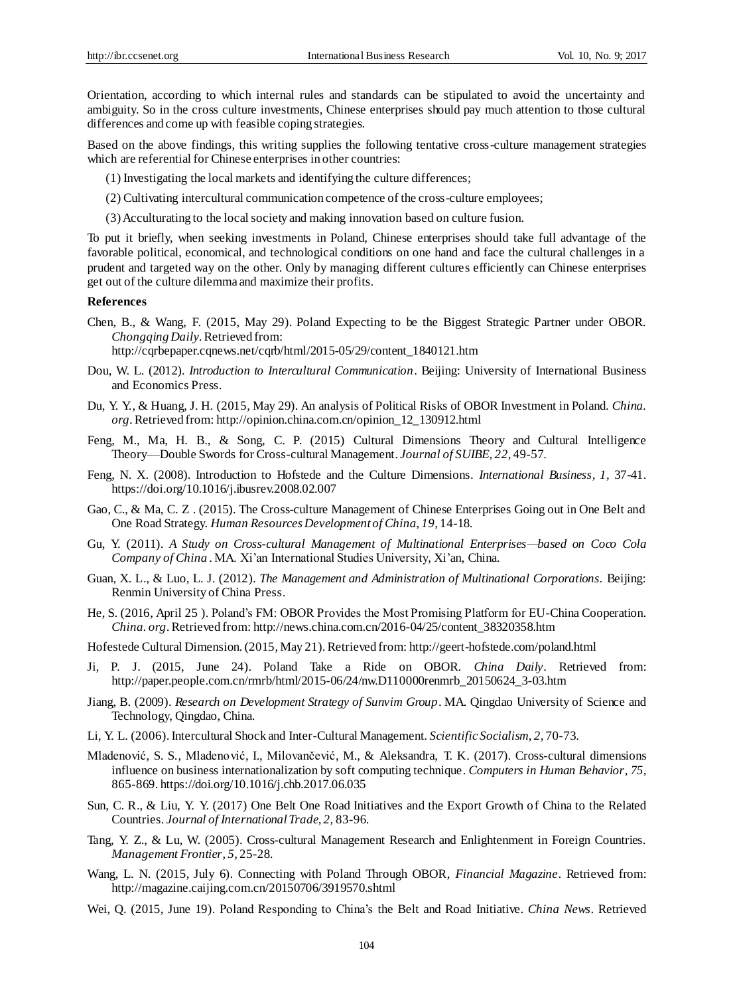Orientation, according to which internal rules and standards can be stipulated to avoid the uncertainty and ambiguity. So in the cross culture investments, Chinese enterprises should pay much attention to those cultural differences and come up with feasible coping strategies.

Based on the above findings, this writing supplies the following tentative cross-culture management strategies which are referential for Chinese enterprises in other countries:

- (1) Investigating the local markets and identifying the culture differences;
- (2) Cultivating intercultural communication competence of the cross-culture employees;
- (3) Acculturating to the local society and making innovation based on culture fusion.

To put it briefly, when seeking investments in Poland, Chinese enterprises should take full advantage of the favorable political, economical, and technological conditions on one hand and face the cultural challenges in a prudent and targeted way on the other. Only by managing different cultures efficiently can Chinese enterprises get out of the culture dilemma and maximize their profits.

## **References**

Chen, B., & Wang, F. (2015, May 29). Poland Expecting to be the Biggest Strategic Partner under OBOR. *Chongqing Daily*. Retrieved from:

http://cqrbepaper.cqnews.net/cqrb/html/2015-05/29/content\_1840121.htm

- Dou, W. L. (2012). *Introduction to Intercultural Communication*. Beijing: University of International Business and Economics Press.
- Du, Y. Y., & Huang, J. H. (2015, May 29). An analysis of Political Risks of OBOR Investment in Poland. *China. org*. Retrieved from: http://opinion.china.com.cn/opinion\_12\_130912.html
- Feng, M., Ma, H. B., & Song, C. P. (2015) Cultural Dimensions Theory and Cultural Intelligence Theory—Double Swords for Cross-cultural Management. *Journal of SUIBE, 22,* 49-57.
- Feng, N. X. (2008). Introduction to Hofstede and the Culture Dimensions. *International Business, 1,* 37-41. https://doi.org/10.1016/j.ibusrev.2008.02.007
- Gao, C., & Ma, C. Z . (2015). The Cross-culture Management of Chinese Enterprises Going out in One Belt and One Road Strategy. *Human Resources Development of China*, *19,* 14-18.
- Gu, Y. (2011). *A Study on Cross-cultural Management of Multinational Enterprises—based on Coco Cola Company of China* . MA. Xi'an International Studies University, Xi'an, China.
- Guan, X. L., & Luo, L. J. (2012). *The Management and Administration of Multinational Corporations.* Beijing: Renmin University of China Press.
- He, S. (2016, April 25 ). Poland's FM: OBOR Provides the Most Promising Platform for EU-China Cooperation. *China. org*. Retrieved from: http://news.china.com.cn/2016-04/25/content\_38320358.htm
- Hofestede Cultural Dimension. (2015, May 21). Retrieved from: http://geert-hofstede.com/poland.html
- Ji, P. J. (2015, June 24). Poland Take a Ride on OBOR. *China Daily*. Retrieved from: http://paper.people.com.cn/rmrb/html/2015-06/24/nw.D110000renmrb\_20150624\_3-03.htm
- Jiang, B. (2009). *Research on Development Strategy of Sunvim Group*. MA. Qingdao University of Science and Technology, Qingdao, China.
- Li, Y. L. (2006). Intercultural Shock and Inter-Cultural Management*. Scientific Socialism*, *2,* 70-73.
- Mladenović, S. S., Mladenović, I., Milovančević, M., & Aleksandra, T. K. (2017). Cross-cultural dimensions influence on business internationalization by soft computing technique. *Computers in Human Behavior*, *75,*  865-869. https://doi.org/10.1016/j.chb.2017.06.035
- Sun, C. R., & Liu, Y. Y. (2017) One Belt One Road Initiatives and the Export Growth of China to the Related Countries. *Journal of International Trade, 2,* 83-96.
- Tang, Y. Z., & Lu, W. (2005). Cross-cultural Management Research and Enlightenment in Foreign Countries. *Management Frontier*, *5,* 25-28.
- Wang, L. N. (2015, July 6). Connecting with Poland Through OBOR, *Financial Magazine*. Retrieved from: http://magazine.caijing.com.cn/20150706/3919570.shtml
- Wei, Q. (2015, June 19). Poland Responding to China's the Belt and Road Initiative. *China News*. Retrieved